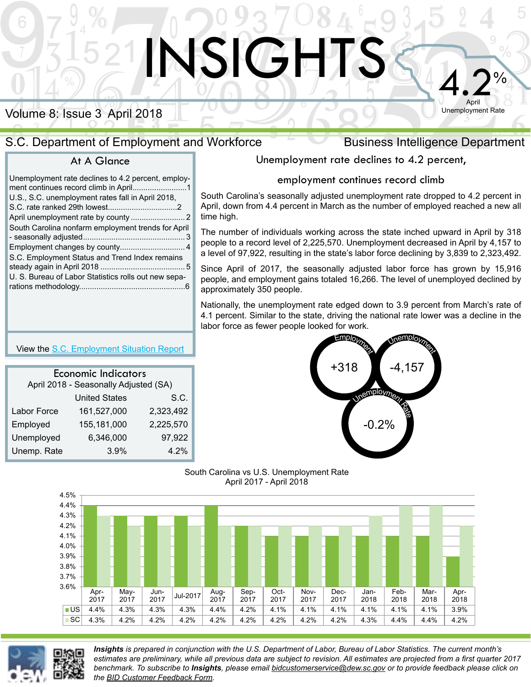# Volume 8: Issue 3 April 2018

## S.C. Department of Employment and Workforce Business Intelligence Department

### At A Glance

| Unemployment rate declines to 4.2 percent, employ-   |
|------------------------------------------------------|
| U.S., S.C. unemployment rates fall in April 2018,    |
|                                                      |
| South Carolina nonfarm employment trends for April   |
|                                                      |
|                                                      |
| S.C. Employment Status and Trend Index remains       |
|                                                      |
| U. S. Bureau of Labor Statistics rolls out new sepa- |
|                                                      |

# Unemployment rate declines to 4.2 percent,

 $4.2%$ 

April Unemployment Rate

#### employment continues record climb

South Carolina's seasonally adjusted unemployment rate dropped to 4.2 percent in April, down from 4.4 percent in March as the number of employed reached a new all time high.

The number of individuals working across the state inched upward in April by 318 people to a record level of 2,225,570. Unemployment decreased in April by 4,157 to a level of 97,922, resulting in the state's labor force declining by 3,839 to 2,323,492.

Since April of 2017, the seasonally adjusted labor force has grown by 15,916 people, and employment gains totaled 16,266. The level of unemployed declined by approximately 350 people.

Nationally, the unemployment rate edged down to 3.9 percent from March's rate of 4.1 percent. Similar to the state, driving the national rate lower was a decline in the labor force as fewer people looked for work.



South Carolina vs U.S. Unemployment Rate April 2017 - April 2018

**ISIGHTS** 



*Insights is prepared in conjunction with the U.S. Department of Labor, Bureau of Labor Statistics. The current month's estimates are preliminary, while all previous data are subject to revision. All estimates are projected from a first quarter 2017 benchmark. To subscribe to Insights, please email bidcustomerservice@dew.sc.gov or to provide feedback please click on the [BID Customer Feedback Form](https://survey.dew.sc.gov/n/LMIFeedback.aspx).*

#### View the [S.C. Employment Situation Report](http://lmi.dew.sc.gov/lmi%20site/Documents/PressReleases/PR1_August_2015.pdf)

| <b>Economic Indicators</b><br>April 2018 - Seasonally Adjusted (SA) |                      |           |  |  |  |
|---------------------------------------------------------------------|----------------------|-----------|--|--|--|
|                                                                     |                      |           |  |  |  |
|                                                                     | <b>United States</b> | S.C.      |  |  |  |
| Labor Force                                                         | 161,527,000          | 2,323,492 |  |  |  |
| Employed                                                            | 155,181,000          | 2,225,570 |  |  |  |
| Unemployed                                                          | 6,346,000            | 97,922    |  |  |  |
| Unemp. Rate                                                         | 3.9%                 | 4.2%      |  |  |  |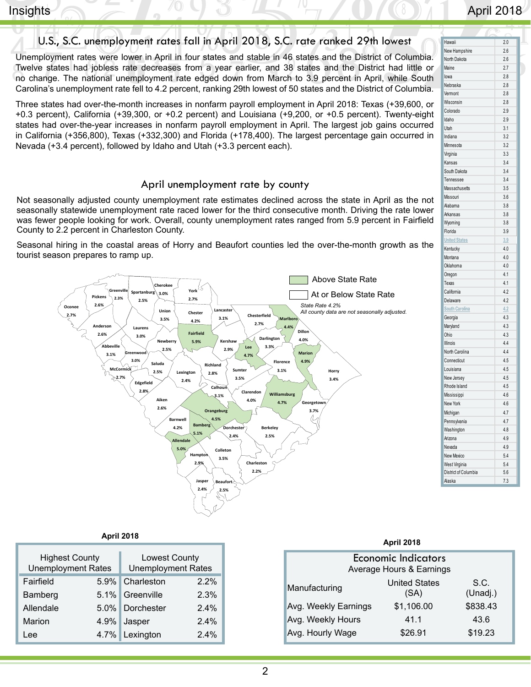## <span id="page-1-0"></span> $\blacksquare$  Insights  $\bigcirc$   $\bigcirc$   $\bigcirc$   $\bigcirc$   $\bigcirc$   $\bigcirc$   $\bigcirc$   $\bigcirc$   $\bigcirc$   $\bigcirc$   $\bigcirc$   $\bigcirc$   $\bigcirc$   $\bigcirc$   $\bigcirc$   $\bigcirc$   $\bigcirc$   $\bigcirc$   $\bigcirc$   $\bigcirc$   $\bigcirc$   $\bigcirc$   $\bigcirc$   $\bigcirc$   $\bigcirc$   $\bigcirc$   $\bigcirc$   $\bigcirc$   $\bigcirc$   $\bigcirc$   $\bigcirc$   $\bigcirc$   $\bigcirc$   $\bigcirc$

### U.S., S.C. unemployment rates fall in April 2018, S.C. rate ranked 29th lowest

Unemployment rates were lower in April in four states and stable in 46 states and the District of Columbia. Twelve states had jobless rate decreases from a year earlier, and 38 states and the District had little or no change. The national unemployment rate edged down from March to 3.9 percent in April, while South Carolina's unemployment rate fell to 4.2 percent, ranking 29th lowest of 50 states and the District of Columbia.

Three states had over-the-month increases in nonfarm payroll employment in April 2018: Texas (+39,600, or +0.3 percent), California (+39,300, or +0.2 percent) and Louisiana (+9,200, or +0.5 percent). Twenty-eight states had over-the-year increases in nonfarm payroll employment in April. The largest job gains occurred in California (+356,800), Texas (+332,300) and Florida (+178,400). The largest percentage gain occurred in Nevada (+3.4 percent), followed by Idaho and Utah (+3.3 percent each).

#### April unemployment rate by county

Not seasonally adjusted county unemployment rate estimates declined across the state in April as the not seasonally statewide unemployment rate raced lower for the third consecutive month. Driving the rate lower was fewer people looking for work. Overall, county unemployment rates ranged from 5.9 percent in Fairfield County to 2.2 percent in Charleston County.

Seasonal hiring in the coastal areas of Horry and Beaufort counties led the over-the-month growth as the tourist season prepares to ramp up.



| Hawaii                | 2.0 |
|-----------------------|-----|
| New Hampshire         | 2.6 |
| North Dakota          | 2.6 |
| Maine                 | 2.7 |
| lowa                  | 2.8 |
| Nebraska              | 2.8 |
| Vermont               | 2.8 |
| Wisconsin             | 2.8 |
| Colorado              | 2.9 |
| Idaho                 | 2.9 |
| Utah                  | 3.1 |
| Indiana               | 3.2 |
| Minnes ota            | 3.2 |
| Virginia              | 3.3 |
| Kansas                | 3.4 |
| South Dakota          | 3.4 |
| Tennessee             | 3.4 |
| Massachusetts         | 3.5 |
| Missouri              | 3.6 |
| Alabama               | 3.8 |
| Arkansas              | 3.8 |
| Wyoming               | 3.8 |
| Florida               | 3.9 |
| <b>United States</b>  | 3.9 |
| Kentucky              | 4.0 |
| Montana               | 4.0 |
| Oklahoma              | 4.0 |
| Oregon                | 4.1 |
| Texas                 | 4.1 |
| California            | 4.2 |
| Delaware              | 4.2 |
| <b>South Carolina</b> | 4.2 |
| Georgia               | 4.3 |
| Maryland              | 4.3 |
| Ohio                  | 4.3 |
| Illinois              | 4.4 |
| North Carolina        | 4.4 |
| Connecticut           | 4.5 |
| Louisiana             | 4.5 |
| New Jersey            | 4.5 |
| Rhode Island          | 4.5 |
| Mississippi           | 4.6 |
| New York              | 4.6 |
| Michigan              | 4.7 |
| Pennsylvania          | 4.7 |
| Washington            | 4.8 |
| Arizona               | 4.9 |
| Nevada                | 4.9 |

New Mexico 5.4 West Virginia 5.4 District of Columbia 5.6 Alaska 7.3

| <b>April 2018</b> |                                                    |                |                                            |  | <b>April 2018</b>    |                                     |
|-------------------|----------------------------------------------------|----------------|--------------------------------------------|--|----------------------|-------------------------------------|
|                   | <b>Highest County</b><br><b>Unemployment Rates</b> |                | Lowest County<br><b>Unemployment Rates</b> |  |                      | Economic Indic<br>Average Hours & E |
| $5.9\%$           | Fairfield                                          | Charleston     | 2.2%                                       |  | Manufacturing        | <b>United S</b>                     |
| $5.1\%$           | Bamberg                                            | Greenville     | 2.3%                                       |  |                      | (SA)                                |
| $5.0\%$           | Allendale                                          | Dorchester     | 2.4%                                       |  | Avg. Weekly Earnings | \$1,106                             |
| $4.9\%$           | Marion                                             | Jasper         | 2.4%                                       |  | Avg. Weekly Hours    | 41.1                                |
|                   | Lee                                                | 4.7% Lexington | 2.4%                                       |  | Avg. Hourly Wage     | \$26.9                              |

| Δ<br>u | rıl | e. |  |
|--------|-----|----|--|
|        |     |    |  |

| <b>Economic Indicators</b><br>Average Hours & Earnings |                              |                  |  |  |  |  |
|--------------------------------------------------------|------------------------------|------------------|--|--|--|--|
| Manufacturing                                          | <b>United States</b><br>(SA) | S.C.<br>(Unadj.) |  |  |  |  |
| Avg. Weekly Earnings                                   | \$1,106.00                   | \$838.43         |  |  |  |  |
| Avg. Weekly Hours                                      | 41.1                         | 43.6             |  |  |  |  |
| Avg. Hourly Wage                                       | \$26.91                      | \$19.23          |  |  |  |  |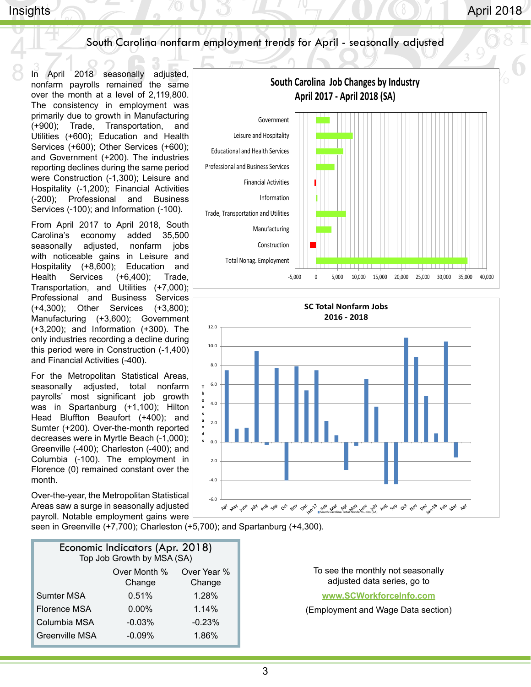## South Carolina nonfarm employment trends for April - seasonally adjusted

In April 2018 seasonally adjusted, nonfarm payrolls remained the same over the month at a level of 2,119,800. The consistency in employment was primarily due to growth in Manufacturing (+900); Trade, Transportation, and Utilities (+600); Education and Health Services (+600); Other Services (+600); and Government (+200). The industries reporting declines during the same period were Construction (-1,300); Leisure and Hospitality (-1,200); Financial Activities (-200); Professional and Business Services (-100); and Information (-100).

From April 2017 to April 2018, South Carolina's economy added 35,500 seasonally adjusted, nonfarm jobs with noticeable gains in Leisure and Hospitality (+8,600); Education and Health Services (+6,400); Trade, Transportation, and Utilities (+7,000); Professional and Business Services (+4,300); Other Services (+3,800); Manufacturing (+3,600); Government (+3,200); and Information (+300). The only industries recording a decline during this period were in Construction (-1,400) and Financial Activities (-400).

For the Metropolitan Statistical Areas, seasonally adjusted, total nonfarm payrolls' most significant job growth was in Spartanburg (+1,100); Hilton Head Bluffton Beaufort (+400); and Sumter (+200). Over-the-month reported decreases were in Myrtle Beach (-1,000); Greenville (-400); Charleston (-400); and Columbia (-100). The employment in Florence (0) remained constant over the month.

Over-the-year, the Metropolitan Statistical Areas saw a surge in seasonally adjusted payroll. Notable employment gains were



| Economic Indicators (Apr. 2018)<br>Top Job Growth by MSA (SA) |          |          |  |  |  |
|---------------------------------------------------------------|----------|----------|--|--|--|
| Over Month %<br>Over Year %<br>Change<br>Change               |          |          |  |  |  |
| <b>Sumter MSA</b>                                             | 0.51%    | 1.28%    |  |  |  |
| <b>Florence MSA</b>                                           | $0.00\%$ | 1.14%    |  |  |  |
| Columbia MSA                                                  | $-0.03%$ | $-0.23%$ |  |  |  |
| <b>Greenville MSA</b>                                         | $-0.09%$ | 1.86%    |  |  |  |





To see the monthly not seasonally adjusted data series, go to

**[www.SCWorkforceInfo.com](https://jobs.scworks.org/analyzer/default.asp)**

(Employment and Wage Data section)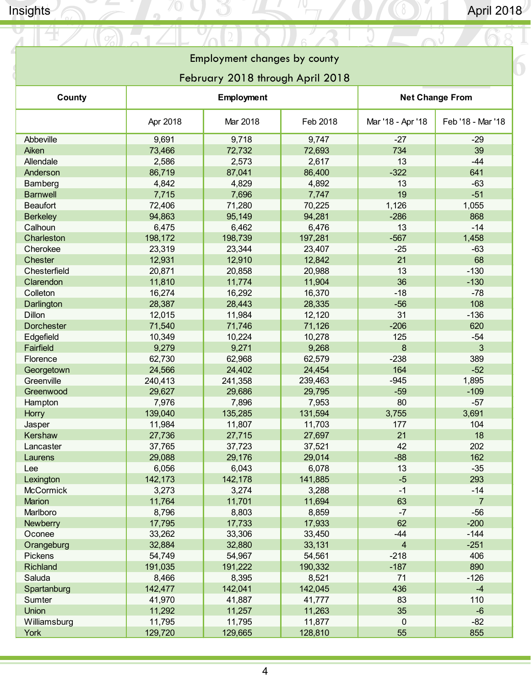$\bigcirc$ 

## **Employment Changes by County** Employment changes by county

## February 2018 through April 2018

<span id="page-3-0"></span>

| County            | Employment |          |          | <b>Net Change From</b>  |                   |  |
|-------------------|------------|----------|----------|-------------------------|-------------------|--|
|                   | Apr 2018   | Mar 2018 | Feb 2018 | Mar '18 - Apr '18       | Feb '18 - Mar '18 |  |
| Abbeville         | 9,691      | 9,718    | 9,747    | $-27$                   | $-29$             |  |
| Aiken             | 73,466     | 72,732   | 72,693   | 734                     | 39                |  |
| Allendale         | 2,586      | 2,573    | 2,617    | 13                      | $-44$             |  |
| Anderson          | 86,719     | 87,041   | 86,400   | $-322$                  | 641               |  |
| Bamberg           | 4,842      | 4,829    | 4,892    | 13                      | $-63$             |  |
| <b>Barnwell</b>   | 7,715      | 7,696    | 7,747    | 19                      | $-51$             |  |
| <b>Beaufort</b>   | 72,406     | 71,280   | 70,225   | 1,126                   | 1,055             |  |
| <b>Berkeley</b>   | 94,863     | 95,149   | 94,281   | $-286$                  | 868               |  |
| Calhoun           | 6,475      | 6,462    | 6,476    | 13                      | $-14$             |  |
| Charleston        | 198,172    | 198,739  | 197,281  | $-567$                  | 1,458             |  |
| Cherokee          | 23,319     | 23,344   | 23,407   | $-25$                   | $-63$             |  |
| <b>Chester</b>    | 12,931     | 12,910   | 12,842   | 21                      | 68                |  |
| Chesterfield      | 20,871     | 20,858   | 20,988   | 13                      | $-130$            |  |
| Clarendon         | 11,810     | 11,774   | 11,904   | 36                      | $-130$            |  |
| Colleton          | 16,274     | 16,292   | 16,370   | $-18$                   | $-78$             |  |
| Darlington        | 28,387     | 28,443   | 28,335   | $-56$                   | 108               |  |
| <b>Dillon</b>     | 12,015     | 11,984   | 12,120   | 31                      | $-136$            |  |
| <b>Dorchester</b> | 71,540     | 71,746   | 71,126   | $-206$                  | 620               |  |
| Edgefield         | 10,349     | 10,224   | 10,278   | 125                     | $-54$             |  |
| Fairfield         | 9,279      | 9,271    | 9,268    | 8                       | 3                 |  |
| Florence          | 62,730     | 62,968   | 62,579   | $-238$                  | 389               |  |
| Georgetown        | 24,566     | 24,402   | 24,454   | 164                     | $-52$             |  |
| Greenville        | 240,413    | 241,358  | 239,463  | $-945$                  | 1,895             |  |
| Greenwood         | 29,627     | 29,686   | 29,795   | $-59$                   | $-109$            |  |
| Hampton           | 7,976      | 7,896    | 7,953    | 80                      | $-57$             |  |
| <b>Horry</b>      | 139,040    | 135,285  | 131,594  | 3,755                   | 3,691             |  |
| Jasper            | 11,984     | 11,807   | 11,703   | 177                     | 104               |  |
| Kershaw           | 27,736     | 27,715   | 27,697   | 21                      | 18                |  |
| Lancaster         | 37,765     | 37,723   | 37,521   | 42                      | 202               |  |
| Laurens           | 29,088     | 29,176   | 29,014   | $-88$                   | 162               |  |
| Lee               | 6,056      | 6,043    | 6,078    | 13                      | $-35$             |  |
| Lexington         | 142,173    | 142,178  | 141,885  | -5                      | 293               |  |
| <b>McCormick</b>  | 3,273      | 3,274    | 3,288    | $-1$                    | $-14$             |  |
| Marion            | 11,764     | 11,701   | 11,694   | 63                      | $\overline{7}$    |  |
| Marlboro          | 8,796      | 8,803    | 8,859    | $-7$                    | $-56$             |  |
| <b>Newberry</b>   | 17,795     | 17,733   | 17,933   | 62                      | $-200$            |  |
| Oconee            | 33,262     | 33,306   | 33,450   | $-44$                   | $-144$            |  |
| Orangeburg        | 32,884     | 32,880   | 33,131   | $\overline{\mathbf{4}}$ | $-251$            |  |
| Pickens           | 54,749     | 54,967   | 54,561   | $-218$                  | 406               |  |
| Richland          | 191,035    | 191,222  | 190,332  | $-187$                  | 890               |  |
| Saluda            | 8,466      | 8,395    | 8,521    | 71                      | $-126$            |  |
| Spartanburg       | 142,477    | 142,041  | 142,045  | 436                     | $-4$              |  |
| Sumter            | 41,970     | 41,887   | 41,777   | 83                      | 110               |  |
| Union             | 11,292     | 11,257   | 11,263   | 35                      | $-6$              |  |
| Williamsburg      | 11,795     | 11,795   | 11,877   | 0                       | $-82$             |  |
| York              | 129,720    | 129,665  | 128,810  | 55                      | 855               |  |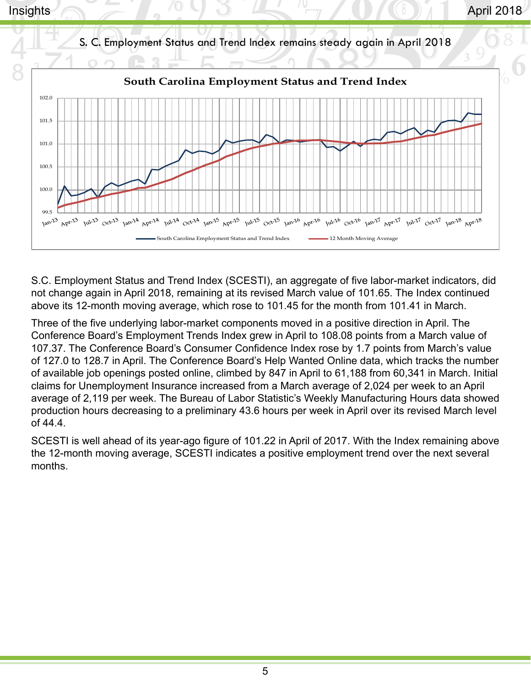<span id="page-4-0"></span>

S.C. Employment Status and Trend Index (SCESTI), an aggregate of five labor-market indicators, did not change again in April 2018, remaining at its revised March value of 101.65. The Index continued above its 12-month moving average, which rose to 101.45 for the month from 101.41 in March.

Three of the five underlying labor-market components moved in a positive direction in April. The Conference Board's Employment Trends Index grew in April to 108.08 points from a March value of 107.37. The Conference Board's Consumer Confidence Index rose by 1.7 points from March's value of 127.0 to 128.7 in April. The Conference Board's Help Wanted Online data, which tracks the number of available job openings posted online, climbed by 847 in April to 61,188 from 60,341 in March. Initial claims for Unemployment Insurance increased from a March average of 2,024 per week to an April average of 2,119 per week. The Bureau of Labor Statistic's Weekly Manufacturing Hours data showed production hours decreasing to a preliminary 43.6 hours per week in April over its revised March level of 44.4.

SCESTI is well ahead of its year-ago figure of 101.22 in April of 2017. With the Index remaining above the 12-month moving average, SCESTI indicates a positive employment trend over the next several months.